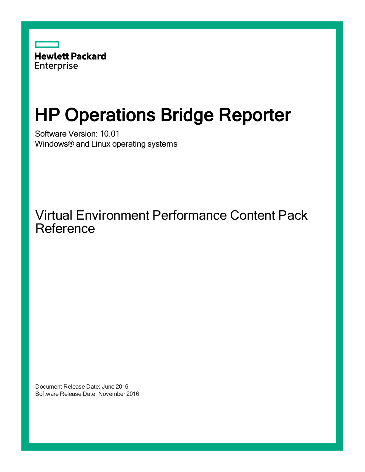

# HP Operations Bridge Reporter

Software Version: 10.01 Windows® and Linux operating systems

Virtual Environment Performance Content Pack Reference

Document Release Date: June 2016 Software Release Date: November 2016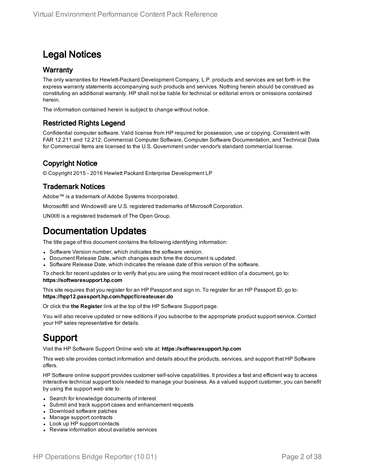### Legal Notices

#### **Warranty**

The only warranties for Hewlett-Packard Development Company, L.P. products and services are set forth in the express warranty statements accompanying such products and services. Nothing herein should be construed as constituting an additional warranty. HP shall not be liable for technical or editorial errors or omissions contained herein.

The information contained herein is subject to change without notice.

#### Restricted Rights Legend

Confidential computer software. Valid license from HP required for possession, use or copying. Consistent with FAR 12.211 and 12.212, Commercial Computer Software, Computer Software Documentation, and Technical Data for Commercial Items are licensed to the U.S. Government under vendor's standard commercial license.

#### Copyright Notice

© Copyright 2015 - 2016 Hewlett Packard Enterprise Development LP

#### Trademark Notices

Adobe™ is a trademark of Adobe Systems Incorporated.

Microsoft® and Windows® are U.S. registered trademarks of Microsoft Corporation.

UNIX® is a registered trademark of The Open Group.

### Documentation Updates

The title page of this document contains the following identifying information:

- Software Version number, which indicates the software version.
- Document Release Date, which changes each time the document is updated.
- Software Release Date, which indicates the release date of this version of the software.

To check for recent updates or to verify that you are using the most recent edition of a document, go to: **https://softwaresupport.hp.com**

This site requires that you register for an HP Passport and sign in. To register for an HP Passport ID, go to: **https://hpp12.passport.hp.com/hppcf/createuser.do**

Or click the **the Register** link at the top of the HP Software Support page.

You will also receive updated or new editions if you subscribe to the appropriate product support service. Contact your HP sales representative for details.

### Support

Visit the HP Software Support Online web site at: **https://softwaresupport.hp.com**

This web site provides contact information and details about the products, services, and support that HP Software offers.

HP Software online support provides customer self-solve capabilities. It provides a fast and efficient way to access interactive technical support tools needed to manage your business. As a valued support customer, you can benefit by using the support web site to:

- Search for knowledge documents of interest
- Submit and track support cases and enhancement requests
- Download software patches
- Manage support contracts
- Look up HP support contacts
- Review information about available services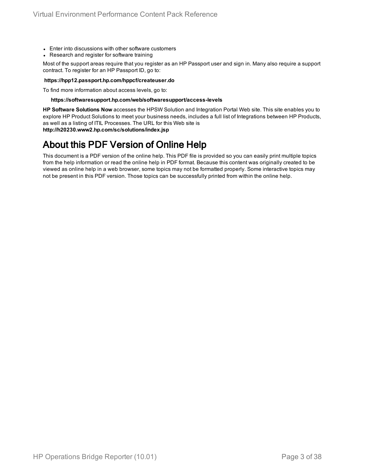- Enter into discussions with other software customers
- Research and register for software training

Most of the support areas require that you register as an HP Passport user and sign in. Many also require a support contract. To register for an HP Passport ID, go to:

#### **https://hpp12.passport.hp.com/hppcf/createuser.do**

To find more information about access levels, go to:

#### **https://softwaresupport.hp.com/web/softwaresupport/access-levels**

**HP Software Solutions Now** accesses the HPSW Solution and Integration Portal Web site. This site enables you to explore HP Product Solutions to meet your business needs, includes a full list of Integrations between HP Products, as well as a listing of ITIL Processes. The URL for this Web site is **http://h20230.www2.hp.com/sc/solutions/index.jsp**

### About this PDF Version of Online Help

This document is a PDF version of the online help. This PDF file is provided so you can easily print multiple topics from the help information or read the online help in PDF format. Because this content was originally created to be viewed as online help in a web browser, some topics may not be formatted properly. Some interactive topics may not be present in this PDF version. Those topics can be successfully printed from within the online help.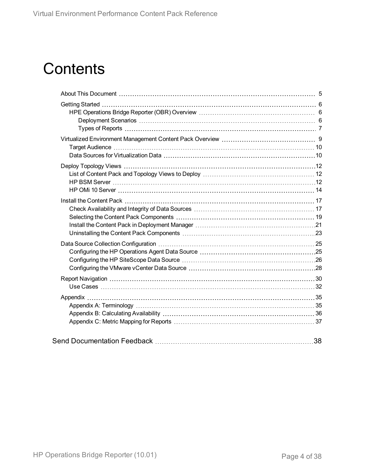# **Contents**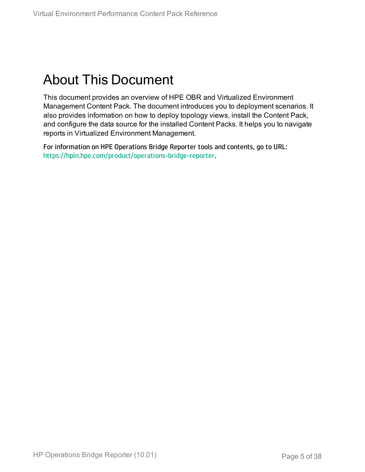# <span id="page-4-0"></span>About This Document

This document provides an overview of HPE OBR and Virtualized Environment Management Content Pack. The document introduces you to deployment scenarios. It also provides information on how to deploy topology views, install the Content Pack, and configure the data source for the installed Content Packs. It helps you to navigate reports in Virtualized Environment Management.

For information on HPE Operations Bridge Reporter tools and contents, go to URL: <https://hpln.hpe.com/product/operations-bridge-reporter>.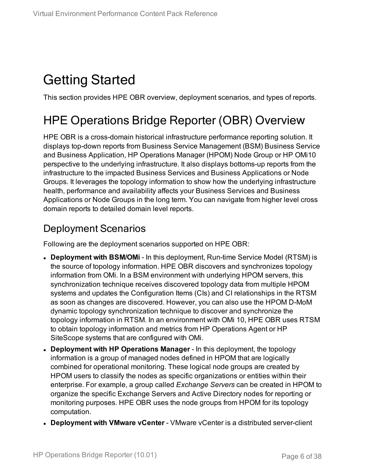# <span id="page-5-0"></span>Getting Started

<span id="page-5-1"></span>This section provides HPE OBR overview, deployment scenarios, and types of reports.

## HPE Operations Bridge Reporter (OBR) Overview

HPE OBR is a cross-domain historical infrastructure performance reporting solution. It displays top-down reports from Business Service Management (BSM) Business Service and Business Application, HP Operations Manager (HPOM) Node Group or HP OMi10 perspective to the underlying infrastructure. It also displays bottoms-up reports from the infrastructure to the impacted Business Services and Business Applications or Node Groups. It leverages the topology information to show how the underlying infrastructure health, performance and availability affects your Business Services and Business Applications or Node Groups in the long term. You can navigate from higher level cross domain reports to detailed domain level reports.

### <span id="page-5-2"></span>Deployment Scenarios

Following are the deployment scenarios supported on HPE OBR:

- **. Deployment with BSM/OMi** In this deployment, Run-time Service Model (RTSM) is the source of topology information. HPE OBR discovers and synchronizes topology information from OMi. In a BSM environment with underlying HPOM servers, this synchronization technique receives discovered topology data from multiple HPOM systems and updates the Configuration Items (CIs) and CI relationships in the RTSM as soon as changes are discovered. However, you can also use the HPOM D-MoM dynamic topology synchronization technique to discover and synchronize the topology information in RTSM. In an environment with OMi 10, HPE OBR uses RTSM to obtain topology information and metrics from HP Operations Agent or HP SiteScope systems that are configured with OMi.
- <sup>l</sup> **Deployment with HP Operations Manager** In this deployment, the topology information is a group of managed nodes defined in HPOM that are logically combined for operational monitoring. These logical node groups are created by HPOM users to classify the nodes as specific organizations or entities within their enterprise. For example, a group called *Exchange Servers* can be created in HPOM to organize the specific Exchange Servers and Active Directory nodes for reporting or monitoring purposes. HPE OBR uses the node groups from HPOM for its topology computation.
- **.** Deployment with **VMware vCenter** VMware vCenter is a distributed server-client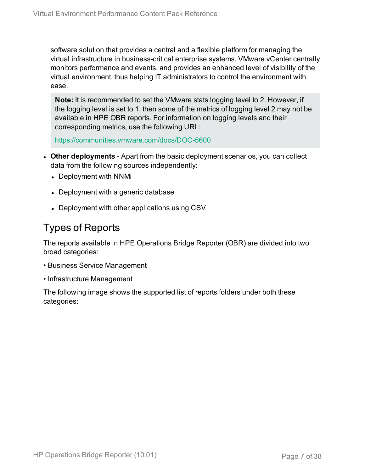software solution that provides a central and a flexible platform for managing the virtual infrastructure in business-critical enterprise systems. VMware vCenter centrally monitors performance and events, and provides an enhanced level of visibility of the virtual environment, thus helping IT administrators to control the environment with ease.

**Note:** It is recommended to set the VMware stats logging level to 2. However, if the logging level is set to 1, then some of the metrics of logging level 2 may not be available in HPE OBR reports. For information on logging levels and their corresponding metrics, use the following URL:

<https://communities.vmware.com/docs/DOC-5600>

- **Other deployments** Apart from the basic deployment scenarios, you can collect data from the following sources independently:
	- Deployment with NNMi
	- Deployment with a generic database
	- Deployment with other applications using CSV

### <span id="page-6-0"></span>Types of Reports

The reports available in HPE Operations Bridge Reporter (OBR) are divided into two broad categories:

- Business Service Management
- Infrastructure Management

The following image shows the supported list of reports folders under both these categories: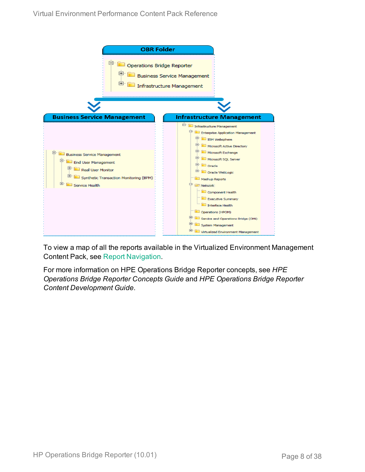

To view a map of all the reports available in the Virtualized Environment Management Content Pack, see Report [Navigation](#page-29-0).

For more information on HPE Operations Bridge Reporter concepts, see *HPE Operations Bridge Reporter Concepts Guide* and *HPE Operations Bridge Reporter Content Development Guide*.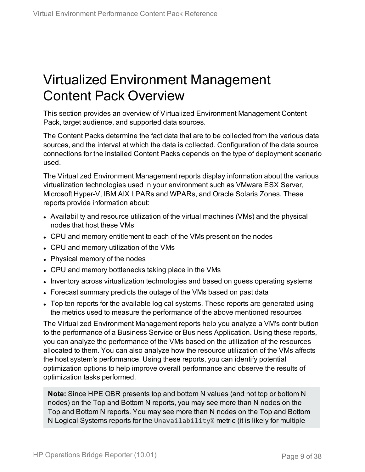## <span id="page-8-0"></span>Virtualized Environment Management Content Pack Overview

This section provides an overview of Virtualized Environment Management Content Pack, target audience, and supported data sources.

The Content Packs determine the fact data that are to be collected from the various data sources, and the interval at which the data is collected. Configuration of the data source connections for the installed Content Packs depends on the type of deployment scenario used.

The Virtualized Environment Management reports display information about the various virtualization technologies used in your environment such as VMware ESX Server, Microsoft Hyper-V, IBM AIX LPARs and WPARs, and Oracle Solaris Zones. These reports provide information about:

- Availability and resource utilization of the virtual machines (VMs) and the physical nodes that host these VMs
- CPU and memory entitlement to each of the VMs present on the nodes
- CPU and memory utilization of the VMs
- Physical memory of the nodes
- CPU and memory bottlenecks taking place in the VMs
- Inventory across virtualization technologies and based on guess operating systems
- Forecast summary predicts the outage of the VMs based on past data
- Top ten reports for the available logical systems. These reports are generated using the metrics used to measure the performance of the above mentioned resources

The Virtualized Environment Management reports help you analyze a VM's contribution to the performance of a Business Service or Business Application. Using these reports, you can analyze the performance of the VMs based on the utilization of the resources allocated to them. You can also analyze how the resource utilization of the VMs affects the host system's performance. Using these reports, you can identify potential optimization options to help improve overall performance and observe the results of optimization tasks performed.

**Note:** Since HPE OBR presents top and bottom N values (and not top or bottom N nodes) on the Top and Bottom N reports, you may see more than N nodes on the Top and Bottom N reports. You may see more than N nodes on the Top and Bottom N Logical Systems reports for the Unavailability% metric (it is likely for multiple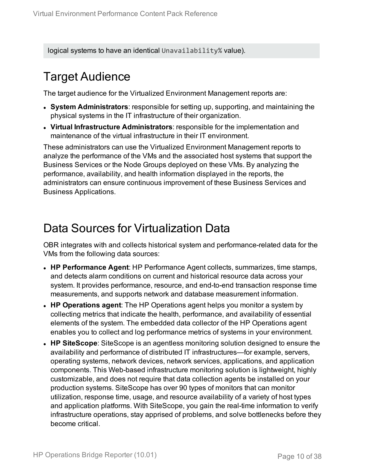<span id="page-9-0"></span>logical systems to have an identical Unavailability% value).

## Target Audience

The target audience for the Virtualized Environment Management reports are:

- **.** System Administrators: responsible for setting up, supporting, and maintaining the physical systems in the IT infrastructure of their organization.
- <sup>l</sup> **Virtual Infrastructure Administrators**: responsible for the implementation and maintenance of the virtual infrastructure in their IT environment.

These administrators can use the Virtualized Environment Management reports to analyze the performance of the VMs and the associated host systems that support the Business Services or the Node Groups deployed on these VMs. By analyzing the performance, availability, and health information displayed in the reports, the administrators can ensure continuous improvement of these Business Services and Business Applications.

### <span id="page-9-1"></span>Data Sources for Virtualization Data

OBR integrates with and collects historical system and performance-related data for the VMs from the following data sources:

- <sup>l</sup> **HP Performance Agent**: HP Performance Agent collects, summarizes, time stamps, and detects alarm conditions on current and historical resource data across your system. It provides performance, resource, and end-to-end transaction response time measurements, and supports network and database measurement information.
- **HP Operations agent**: The HP Operations agent helps you monitor a system by collecting metrics that indicate the health, performance, and availability of essential elements of the system. The embedded data collector of the HP Operations agent enables you to collect and log performance metrics of systems in your environment.
- **. HP SiteScope**: SiteScope is an agentless monitoring solution designed to ensure the availability and performance of distributed IT infrastructures—for example, servers, operating systems, network devices, network services, applications, and application components. This Web-based infrastructure monitoring solution is lightweight, highly customizable, and does not require that data collection agents be installed on your production systems. SiteScope has over 90 types of monitors that can monitor utilization, response time, usage, and resource availability of a variety of host types and application platforms. With SiteScope, you gain the real-time information to verify infrastructure operations, stay apprised of problems, and solve bottlenecks before they become critical.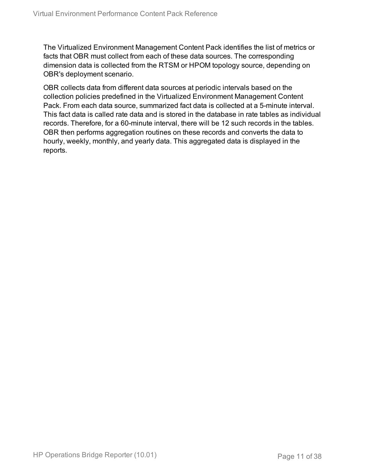The Virtualized Environment Management Content Pack identifies the list of metrics or facts that OBR must collect from each of these data sources. The corresponding dimension data is collected from the RTSM or HPOM topology source, depending on OBR's deployment scenario.

OBR collects data from different data sources at periodic intervals based on the collection policies predefined in the Virtualized Environment Management Content Pack. From each data source, summarized fact data is collected at a 5-minute interval. This fact data is called rate data and is stored in the database in rate tables as individual records. Therefore, for a 60-minute interval, there will be 12 such records in the tables. OBR then performs aggregation routines on these records and converts the data to hourly, weekly, monthly, and yearly data. This aggregated data is displayed in the reports.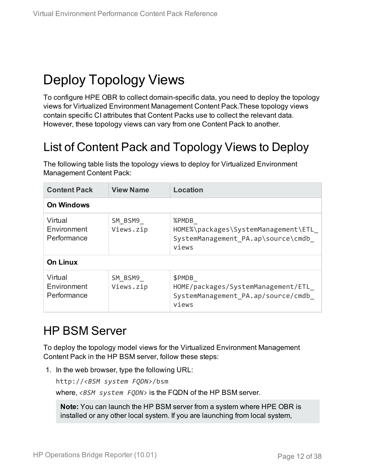# <span id="page-11-0"></span>Deploy Topology Views

To configure HPE OBR to collect domain-specific data, you need to deploy the topology views for Virtualized Environment Management Content Pack.These topology views contain specific CI attributes that Content Packs use to collect the relevant data. However, these topology views can vary from one Content Pack to another.

## <span id="page-11-1"></span>List of Content Pack and Topology Views to Deploy

The following table lists the topology views to deploy for Virtualized Environment Management Content Pack:

| <b>Content Pack</b>                   | <b>View Name</b>     | Location                                                                                     |
|---------------------------------------|----------------------|----------------------------------------------------------------------------------------------|
| <b>On Windows</b>                     |                      |                                                                                              |
| Virtual<br>Environment<br>Performance | SM BSM9<br>Views.zip | %PMDB<br>HOME%\packages\SystemManagement\ETL<br>SystemManagement PA.ap\source\cmdb_<br>views |
| <b>On Linux</b>                       |                      |                                                                                              |
| Virtual<br>Environment<br>Performance | SM BSM9<br>Views.zip | \$PMDB<br>HOME/packages/SystemManagement/ETL<br>SystemManagement PA.ap/source/cmdb<br>views  |

### <span id="page-11-2"></span>HP BSM Server

To deploy the topology model views for the Virtualized Environment Management Content Pack in the HP BSM server, follow these steps:

1. In the web browser, type the following URL:

http://*<BSM system FQDN>*/bsm

where, *<BSM system FQDN>* is the FQDN of the HP BSM server.

**Note:** You can launch the HP BSM server from a system where HPE OBR is installed or any other local system. If you are launching from local system,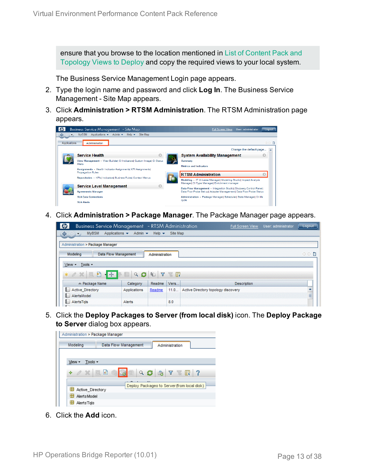ensure that you browse to the location mentioned in List of [Content](#page-11-1) Pack and [Topology](#page-11-1) Views to Deploy and copy the required views to your local system.

The Business Service Management Login page appears.

- 2. Type the login name and password and click **Log In**. The Business Service Management - Site Map appears.
- 3. Click **Administration > RTSM Administration**. The RTSM Administration page appears.



4. Click **Administration > Package Manager**. The Package Manager page appears.

| <b>Business Service Management</b> - RTSM Administration           |                                               |                           |              | <b>Full Screen View</b>             | User: administrator | Logout |
|--------------------------------------------------------------------|-----------------------------------------------|---------------------------|--------------|-------------------------------------|---------------------|--------|
| <b>MyBSM</b><br>♦<br>$\Leftrightarrow$<br>$\overline{\phantom{a}}$ | Applications v<br>Admin $\blacktriangleright$ | Help $\blacktriangledown$ | Site Map     |                                     |                     |        |
| Administration > Package Manager                                   |                                               |                           |              |                                     |                     |        |
| Modeling                                                           | <b>Data Flow Management</b>                   | Administration            |              |                                     |                     | ○○■    |
| Tools -<br>View -                                                  |                                               |                           |              |                                     |                     |        |
| 一顿<br>冊<br>$*$ $\alpha$                                            | Q<br><b>Report</b>                            | Y<br><b>G</b>             | <b>TE IN</b> |                                     |                     |        |
| ≐ Package Name                                                     | Category                                      | Readme                    | Vers         | <b>Description</b>                  |                     |        |
| <b>Active Directory</b><br><b>A</b> and                            | Applications                                  | Readme                    | 11.0         | Active Directory topology discovery |                     | ۸      |
| AlertsModel<br>۰.                                                  |                                               |                           |              |                                     |                     | E      |
| AlertsTgls                                                         | Alerts                                        |                           | 8.0          |                                     |                     |        |
|                                                                    |                                               |                           |              |                                     |                     |        |

5. Click the **Deploy Packages to Server (from local disk)** icon. The **Deploy Package to Server** dialog box appears.



6. Click the **Add** icon.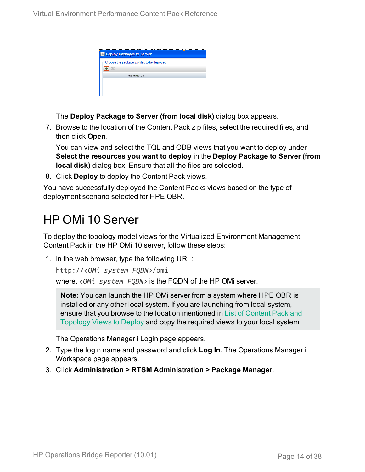| <b>B</b> Deploy Packages to Server          |  |
|---------------------------------------------|--|
| Choose the package zip files to be deployed |  |
| Package(zip)                                |  |
|                                             |  |

The **Deploy Package to Server (from local disk)** dialog box appears.

7. Browse to the location of the Content Pack zip files, select the required files, and then click **Open**.

You can view and select the TQL and ODB views that you want to deploy under **Select the resources you want to deploy** in the **Deploy Package to Server (from local disk)** dialog box. Ensure that all the files are selected.

8. Click **Deploy** to deploy the Content Pack views.

You have successfully deployed the Content Packs views based on the type of deployment scenario selected for HPE OBR.

## <span id="page-13-0"></span>HP OMi 10 Server

To deploy the topology model views for the Virtualized Environment Management Content Pack in the HP OMi 10 server, follow these steps:

1. In the web browser, type the following URL:

http://*<OMi system FQDN>*/omi

where, *<OMi system FQDN>* is the FQDN of the HP OMi server.

**Note:** You can launch the HP OMi server from a system where HPE OBR is installed or any other local system. If you are launching from local system, ensure that you browse to the location mentioned in List of [Content](#page-11-1) Pack and [Topology](#page-11-1) Views to Deploy and copy the required views to your local system.

The Operations Manager i Login page appears.

- 2. Type the login name and password and click **Log In**. The Operations Manager i Workspace page appears.
- 3. Click **Administration > RTSM Administration > Package Manager**.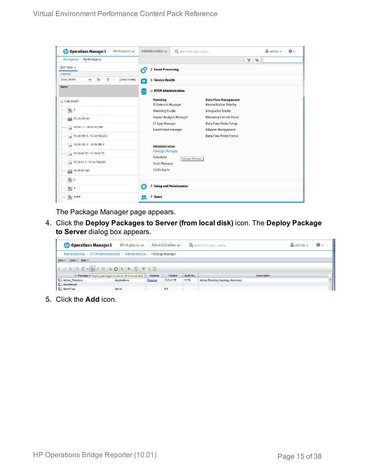| <b><i>OD</i></b> Operations Manager i<br>Workspaces $\smile$    | Administration $\sim$                               | Q search for menu items |                                                               | $\mathbf{L}$ admin $\sim$ | $\bullet$ |  |  |  |
|-----------------------------------------------------------------|-----------------------------------------------------|-------------------------|---------------------------------------------------------------|---------------------------|-----------|--|--|--|
| Workspaces > My Workspace                                       |                                                     |                         |                                                               | F.<br>Ī.                  |           |  |  |  |
| 360° View x                                                     | <b>Event Processing</b><br>УĢ                       |                         |                                                               |                           |           |  |  |  |
| Hierarchy<br>È.<br>EUM_BSMR<br>v<br>Y<br>[Select a Filter]<br>Y | 6<br>> Service Health                               |                         |                                                               |                           |           |  |  |  |
| Name                                                            | $\sim$ RTSM Administration                          |                         |                                                               |                           |           |  |  |  |
| E EUM_BSMR                                                      | <b>Modeling</b><br><b>IT Universe Manager</b>       |                         | <b>Data Flow Management</b><br><b>Reconciliation Priority</b> |                           |           |  |  |  |
| $\boxed{0}$ 1                                                   | <b>Modeling Studio</b>                              |                         | <b>Integration Studio</b>                                     |                           |           |  |  |  |
| e<br>16.55.245.42                                               | <b>Impact Analysis Manager</b>                      |                         | <b>Discovery Control Panel</b>                                |                           |           |  |  |  |
| $\bullet$ 16.59.1.1 - 16.59.50.255                              | <b>CI Type Manager</b><br><b>Enrichment manager</b> |                         | <b>Data Flow Probe Setup</b><br><b>Adapter Management</b>     |                           |           |  |  |  |
| $\bigotimes$ 16.59.101.1 - 16.59.150.255                        |                                                     |                         | <b>Data Flow Probe Status</b>                                 |                           |           |  |  |  |
| $\bigotimes$ 16.59.151.1 - 16.59.255.1                          | <b>Administration</b>                               |                         |                                                               |                           |           |  |  |  |
| 16.59.42.70 - 16.59.42.70                                       | <b>Package Manager</b><br>Scheduler                 |                         |                                                               |                           |           |  |  |  |
| $\bigotimes$ 16.59.51.1 - 16.59.100.255                         | <b>State Manager</b>                                | Package Manager         |                                                               |                           |           |  |  |  |
| 16.59.67.149<br>▄                                               | <b>CI Life Cycle</b>                                |                         |                                                               |                           |           |  |  |  |
| $\left[ \bigcirc \right]$ 2                                     |                                                     |                         |                                                               |                           |           |  |  |  |
| $\Theta$ 4                                                      | Ö<br>> Setup and Maintenance                        |                         |                                                               |                           |           |  |  |  |
| Active                                                          | > Users<br>22                                       |                         |                                                               |                           |           |  |  |  |

The Package Manager page appears.

4. Click the **Deploy Packages to Server (from local disk)** icon. The **Deploy Package to Server** dialog box appears.

| <b>Operations Manager i</b>                                             | Workspaces $\smile$ |        | Administration $\sim$ |          | Q search for menu items             | $\blacktriangle$ r admin $\blacktriangleright$ | $\odot$ |  |
|-------------------------------------------------------------------------|---------------------|--------|-----------------------|----------|-------------------------------------|------------------------------------------------|---------|--|
| Administration > RTSM Administration > Administration > Package Manager |                     |        |                       |          |                                     |                                                |         |  |
| View - Tools - Help -                                                   |                     |        |                       |          |                                     |                                                |         |  |
|                                                                         |                     |        |                       |          |                                     |                                                |         |  |
| ≐ Package N Deploy packages to server (from local disk)                 |                     | Readme | <b>Version</b>        | Build Nu | <b>Description</b>                  |                                                |         |  |
| Active_Directory                                                        | Applications        | Readme | 13.0-1179             | 1179     | Active Directory topology discovery |                                                |         |  |
| AlertsModel                                                             |                     |        |                       |          |                                     |                                                |         |  |
| AlertsTqls                                                              | Alerts              |        | 8.0                   |          |                                     |                                                |         |  |

5. Click the **Add** icon.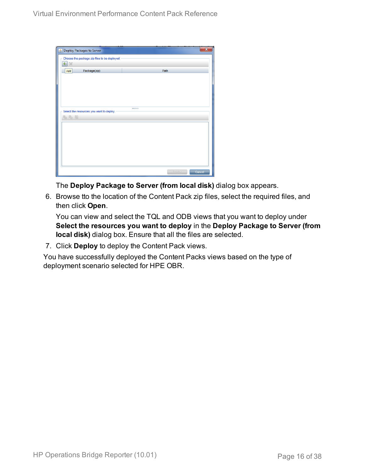| Seploy Packages to Server                   |        |        |
|---------------------------------------------|--------|--------|
| Choose the package zip files to be deployed |        |        |
| 壘<br>$\chi$                                 |        |        |
| Package(zip)<br>Add                         | Path   |        |
|                                             |        |        |
|                                             |        |        |
|                                             |        |        |
|                                             |        |        |
|                                             |        |        |
| Select the resources you want to deploy     |        |        |
| 名七脑                                         |        |        |
|                                             |        |        |
|                                             |        |        |
|                                             |        |        |
|                                             |        |        |
|                                             |        |        |
|                                             |        |        |
|                                             |        |        |
|                                             | Deploy | Cancel |

The **Deploy Package to Server (from local disk)** dialog box appears.

6. Browse tto the location of the Content Pack zip files, select the required files, and then click **Open**.

You can view and select the TQL and ODB views that you want to deploy under **Select the resources you want to deploy** in the **Deploy Package to Server (from local disk)** dialog box. Ensure that all the files are selected.

7. Click **Deploy** to deploy the Content Pack views.

You have successfully deployed the Content Packs views based on the type of deployment scenario selected for HPE OBR.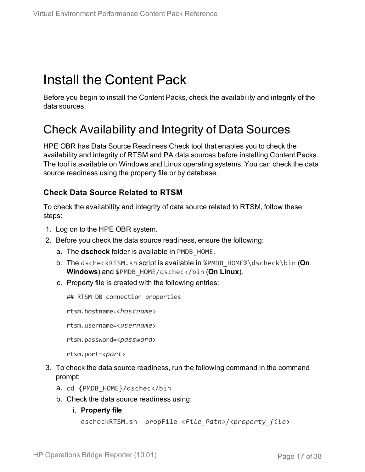## <span id="page-16-0"></span>Install the Content Pack

Before you begin to install the Content Packs, check the availability and integrity of the data sources.

### <span id="page-16-1"></span>Check Availability and Integrity of Data Sources

HPE OBR has Data Source Readiness Check tool that enables you to check the availability and integrity of RTSM and PA data sources before installing Content Packs. The tool is available on Windows and Linux operating systems. You can check the data source readiness using the property file or by database.

#### **Check Data Source Related to RTSM**

To check the availability and integrity of data source related to RTSM, follow these steps:

- 1. Log on to the HPE OBR system.
- 2. Before you check the data source readiness, ensure the following:
	- a. The **dscheck** folder is available in PMDB\_HOME.
	- b. The dscheckRTSM.sh script is available in %PMDB\_HOME%\dscheck\bin (**On Windows**) and \$PMDB\_HOME/dscheck/bin (**On Linux**).
	- c. Property file is created with the following entries:

## RTSM DB connection properties

rtsm.hostname=<*hostname*>

rtsm.username=<*username*>

rtsm.password=<*password*>

```
rtsm.port=<port>
```
- 3. To check the data source readiness, run the following command in the command prompt:
	- a. cd {PMDB\_HOME}/dscheck/bin
	- b. Check the data source readiness using:
		- i. **Property file**:

```
dscheckRTSM.sh -propFile <File_Path>/<property_file>
```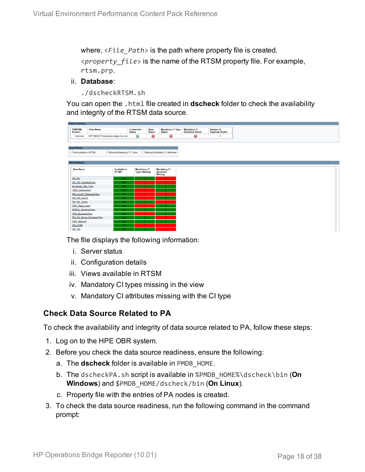where, <*File\_Path*> is the path where property file is created. <*property\_file*> is the name of the RTSM property file. For example, rtsm.prp.

#### ii. **Database**:

./dscheckRTSM.sh

You can open the .html file created in **dscheck** folder to check the availability and integrity of the RTSM data source.

| <b>Status Summary</b>            |                                   |                            |                             |                              |                                           |                                           |  |
|----------------------------------|-----------------------------------|----------------------------|-----------------------------|------------------------------|-------------------------------------------|-------------------------------------------|--|
| <b>BSM/OMi</b><br><b>Version</b> | <b>Host Name</b>                  |                            | Connection<br><b>Status</b> | <b>View</b><br><b>Status</b> | <b>Mandatory CI Type</b><br><b>Status</b> | <b>Mandatory CI<br/>Attributes Status</b> |  |
| Unknown                          | IWFVM02277.hpswlabs.adapps.hp.com |                            | Ø                           | ◶                            | ☺                                         | 0                                         |  |
|                                  |                                   |                            |                             |                              |                                           |                                           |  |
| <b>Select Views:</b>             |                                   |                            |                             |                              |                                           |                                           |  |
| Not available in RTSM            |                                   | Missing Mandatory CI Types |                             |                              | Missing Mandatory CI Attributes           |                                           |  |
|                                  |                                   |                            |                             |                              |                                           |                                           |  |
| <b>View Summary</b>              |                                   |                            |                             |                              |                                           |                                           |  |
|                                  |                                   |                            |                             |                              |                                           |                                           |  |
| <b>View Name</b>                 |                                   | <b>Available in</b>        | <b>Mandatory CI</b>         |                              | <b>Mandatory CI</b>                       |                                           |  |
|                                  |                                   | RTSM?                      | <b>Types Missing</b>        |                              | <b>Attributes</b><br><b>Missing</b>       |                                           |  |
| SM_PA                            |                                   | Yes.                       | $\mathbf{0}$                |                              | 4                                         |                                           |  |
| SM SiS BusinessView              |                                   | Yes:                       |                             |                              | $\blacktriangleleft$                      |                                           |  |
| Exchange Site View               |                                   | Yes:                       |                             |                              |                                           |                                           |  |
| J2EE_Deployment                  |                                   | Yes:                       |                             |                              |                                           |                                           |  |
| SM_HyperV_BusinessView           |                                   | Yes:                       |                             |                              |                                           |                                           |  |
| SM_SiS_Server                    |                                   | Yes                        |                             |                              |                                           |                                           |  |
| SM Sol Zones                     |                                   | Yes:                       |                             |                              |                                           |                                           |  |
| <b>ORA</b> Deployment            |                                   | Yes:                       |                             |                              |                                           |                                           |  |
| MSSQL BusinessView               |                                   | <b>Yes</b>                 |                             |                              |                                           |                                           |  |
| <b>ORA BusinessView</b>          |                                   | Yes:                       |                             |                              |                                           |                                           |  |
| SM Sol Zones BusinessView        |                                   | Yes:                       |                             |                              | 12                                        |                                           |  |
| <b>SHR Network</b>               |                                   | Yes:                       |                             |                              |                                           |                                           |  |
| <b>SM_LPAR</b>                   |                                   | Yes:                       |                             |                              | $\overline{1}$                            |                                           |  |
| SM SiS                           |                                   | Yes:                       |                             |                              |                                           |                                           |  |

The file displays the following information:

- i. Server status
- ii. Configuration details
- iii. Views available in RTSM
- iv. Mandatory CI types missing in the view
- v. Mandatory CI attributes missing with the CI type

#### **Check Data Source Related to PA**

To check the availability and integrity of data source related to PA, follow these steps:

- 1. Log on to the HPE OBR system.
- 2. Before you check the data source readiness, ensure the following:
	- a. The **dscheck** folder is available in PMDB\_HOME.
	- b. The dscheckPA.sh script is available in %PMDB\_HOME%\dscheck\bin (**On Windows**) and \$PMDB\_HOME/dscheck/bin (**On Linux**).
	- c. Property file with the entries of PA nodes is created.
- 3. To check the data source readiness, run the following command in the command prompt: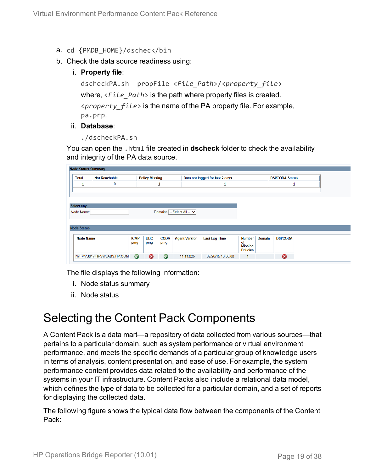- a. cd {PMDB\_HOME}/dscheck/bin
- b. Check the data source readiness using:
	- i. **Property file**:

dscheckPA.sh -propFile <*File\_Path*>/<*property\_file*> where, <*File\_Path*> is the path where property files is created. <*property\_file*> is the name of the PA property file. For example, pa.prp.

#### ii. **Database**:

./dscheckPA.sh

You can open the .html file created in **dscheck** folder to check the availability and integrity of the PA data source.

| <b>Total</b>       | <b>Not Reachable</b> | <b>Policy Missing</b>     |                             |                      | Data not logged for last 2 days |                                   | <b>DSi/CODA Status</b> |                 |  |
|--------------------|----------------------|---------------------------|-----------------------------|----------------------|---------------------------------|-----------------------------------|------------------------|-----------------|--|
| ∸                  | 0                    |                           | ┚                           |                      |                                 |                                   | 1                      |                 |  |
|                    |                      |                           |                             |                      |                                 |                                   |                        |                 |  |
|                    |                      |                           |                             |                      |                                 |                                   |                        |                 |  |
| <b>Select any</b>  |                      |                           |                             |                      |                                 |                                   |                        |                 |  |
| Node Name:         |                      |                           | Domains: -- Select All -- V |                      |                                 |                                   |                        |                 |  |
|                    |                      |                           |                             |                      |                                 |                                   |                        |                 |  |
|                    |                      |                           |                             |                      |                                 |                                   |                        |                 |  |
|                    |                      |                           |                             |                      |                                 |                                   |                        |                 |  |
| <b>Node Status</b> |                      |                           |                             |                      |                                 |                                   |                        |                 |  |
| <b>Node Name</b>   |                      | <b>BBC</b><br><b>ICMP</b> | <b>CODA</b>                 | <b>Agent Version</b> | <b>Last Log Time</b>            | Number                            | <b>Domain</b>          | <b>DSi/CODA</b> |  |
|                    |                      | ping<br>ping              | ping                        |                      |                                 | of                                |                        |                 |  |
|                    |                      |                           |                             |                      |                                 | <b>Missing</b><br><b>Policies</b> |                        |                 |  |

The file displays the following information:

- i. Node status summary
- ii. Node status

### <span id="page-18-0"></span>Selecting the Content Pack Components

A Content Pack is a data mart—a repository of data collected from various sources—that pertains to a particular domain, such as system performance or virtual environment performance, and meets the specific demands of a particular group of knowledge users in terms of analysis, content presentation, and ease of use. For example, the system performance content provides data related to the availability and performance of the systems in your IT infrastructure. Content Packs also include a relational data model, which defines the type of data to be collected for a particular domain, and a set of reports for displaying the collected data.

The following figure shows the typical data flow between the components of the Content Pack: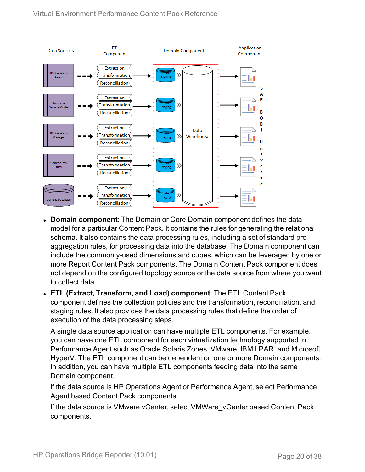

- **. Domain component:** The Domain or Core Domain component defines the data model for a particular Content Pack. It contains the rules for generating the relational schema. It also contains the data processing rules, including a set of standard preaggregation rules, for processing data into the database. The Domain component can include the commonly-used dimensions and cubes, which can be leveraged by one or more Report Content Pack components. The Domain Content Pack component does not depend on the configured topology source or the data source from where you want to collect data.
- <sup>l</sup> **ETL (Extract, Transform, and Load) component**: The ETL Content Pack component defines the collection policies and the transformation, reconciliation, and staging rules. It also provides the data processing rules that define the order of execution of the data processing steps.

A single data source application can have multiple ETL components. For example, you can have one ETL component for each virtualization technology supported in Performance Agent such as Oracle Solaris Zones, VMware, IBM LPAR, and Microsoft HyperV. The ETL component can be dependent on one or more Domain components. In addition, you can have multiple ETL components feeding data into the same Domain component.

If the data source is HP Operations Agent or Performance Agent, select Performance Agent based Content Pack components.

If the data source is VMware vCenter, select VMWare\_vCenter based Content Pack components.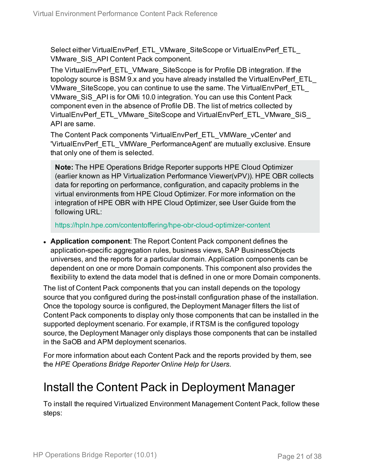Select either VirtualEnvPerf\_ETL\_VMware\_SiteScope or VirtualEnvPerf\_ETL VMware\_SiS\_API Content Pack component.

The VirtualEnvPerf\_ETL\_VMware\_SiteScope is for Profile DB integration. If the topology source is BSM 9.x and you have already installed the VirtualEnvPerf\_ETL\_ VMware SiteScope, you can continue to use the same. The VirtualEnvPerf\_ETL VMware SiS API is for OMi 10.0 integration. You can use this Content Pack component even in the absence of Profile DB. The list of metrics collected by VirtualEnvPerf\_ETL\_VMware\_SiteScope and VirtualEnvPerf\_ETL\_VMware\_SiS API are same.

The Content Pack components 'VirtualEnvPerf\_ETL\_VMWare\_vCenter' and 'VirtualEnvPerf\_ETL\_VMWare\_PerformanceAgent' are mutually exclusive. Ensure that only one of them is selected.

**Note:** The HPE Operations Bridge Reporter supports HPE Cloud Optimizer (earlier known as HP Virtualization Performance Viewer(vPV)). HPE OBR collects data for reporting on performance, configuration, and capacity problems in the virtual environments from HPE Cloud Optimizer. For more information on the integration of HPE OBR with HPE Cloud Optimizer, see User Guide from the following URL:

<https://hpln.hpe.com/contentoffering/hpe-obr-cloud-optimizer-content>

**Application component**: The Report Content Pack component defines the application-specific aggregation rules, business views, SAP BusinessObjects universes, and the reports for a particular domain. Application components can be dependent on one or more Domain components. This component also provides the flexibility to extend the data model that is defined in one or more Domain components.

The list of Content Pack components that you can install depends on the topology source that you configured during the post-install configuration phase of the installation. Once the topology source is configured, the Deployment Manager filters the list of Content Pack components to display only those components that can be installed in the supported deployment scenario. For example, if RTSM is the configured topology source, the Deployment Manager only displays those components that can be installed in the SaOB and APM deployment scenarios.

For more information about each Content Pack and the reports provided by them, see the *HPE Operations Bridge Reporter Online Help for Users*.

### <span id="page-20-0"></span>Install the Content Pack in Deployment Manager

To install the required Virtualized Environment Management Content Pack, follow these steps: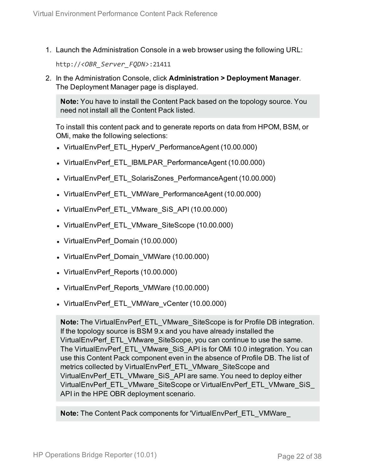1. Launch the Administration Console in a web browser using the following URL:

http://*<OBR\_Server\_FQDN>*:21411

2. In the Administration Console, click **Administration > Deployment Manager**. The Deployment Manager page is displayed.

**Note:** You have to install the Content Pack based on the topology source. You need not install all the Content Pack listed.

To install this content pack and to generate reports on data from HPOM, BSM, or OMi, make the following selections:

- VirtualEnvPerf ETL HyperV PerformanceAgent (10.00.000)
- VirtualEnvPerf ETL IBMLPAR PerformanceAgent (10.00.000)
- VirtualEnvPerf ETL SolarisZones PerformanceAgent (10.00.000)
- VirtualEnvPerf\_ETL\_VMWare\_PerformanceAgent (10.00.000)
- VirtualEnvPerf ETL VMware SiS API (10.00.000)
- VirtualEnvPerf ETL VMware SiteScope (10.00.000)
- VirtualEnvPerf Domain (10.00.000)
- VirtualEnvPerf Domain VMWare (10.00.000)
- VirtualEnvPerf Reports (10.00.000)
- VirtualEnvPerf Reports VMWare (10.00.000)
- VirtualEnvPerf ETL VMWare vCenter (10.00.000)

**Note:** The VirtualEnvPerf\_ETL\_VMware\_SiteScope is for Profile DB integration. If the topology source is BSM 9.x and you have already installed the VirtualEnvPerf\_ETL\_VMware\_SiteScope, you can continue to use the same. The VirtualEnvPerf\_ETL\_VMware\_SiS\_API is for OMi 10.0 integration. You can use this Content Pack component even in the absence of Profile DB. The list of metrics collected by VirtualEnvPerf\_ETL\_VMware\_SiteScope and VirtualEnvPerf\_ETL\_VMware\_SiS\_API are same. You need to deploy either VirtualEnvPerf\_ETL\_VMware\_SiteScope or VirtualEnvPerf\_ETL\_VMware\_SiS API in the HPE OBR deployment scenario.

**Note:** The Content Pack components for 'VirtualEnvPerf\_ETL\_VMWare\_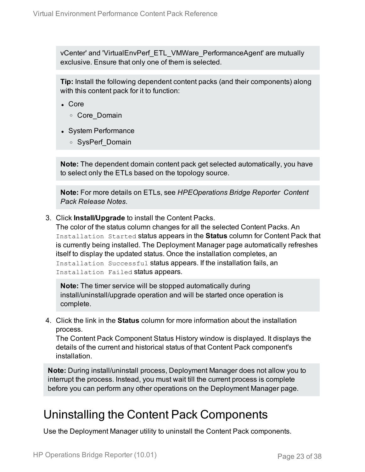vCenter' and 'VirtualEnvPerf\_ETL\_VMWare\_PerformanceAgent' are mutually exclusive. Ensure that only one of them is selected.

**Tip:** Install the following dependent content packs (and their components) along with this content pack for it to function:

- $\blacksquare$  Core
	- <sup>o</sup> Core\_Domain
- System Performance
	- <sup>o</sup> SysPerf\_Domain

**Note:** The dependent domain content pack get selected automatically, you have to select only the ETLs based on the topology source.

**Note:** For more details on ETLs, see *HPEOperations Bridge Reporter Content Pack Release Notes*.

3. Click **Install/Upgrade** to install the Content Packs.

The color of the status column changes for all the selected Content Packs. An Installation Started status appears in the **Status** column for Content Pack that is currently being installed. The Deployment Manager page automatically refreshes itself to display the updated status. Once the installation completes, an Installation Successful status appears. If the installation fails, an Installation Failed status appears.

**Note:** The timer service will be stopped automatically during install/uninstall/upgrade operation and will be started once operation is complete.

4. Click the link in the **Status** column for more information about the installation process.

The Content Pack Component Status History window is displayed. It displays the details of the current and historical status of that Content Pack component's installation.

**Note:** During install/uninstall process, Deployment Manager does not allow you to interrupt the process. Instead, you must wait till the current process is complete before you can perform any other operations on the Deployment Manager page.

### <span id="page-22-0"></span>Uninstalling the Content Pack Components

Use the Deployment Manager utility to uninstall the Content Pack components.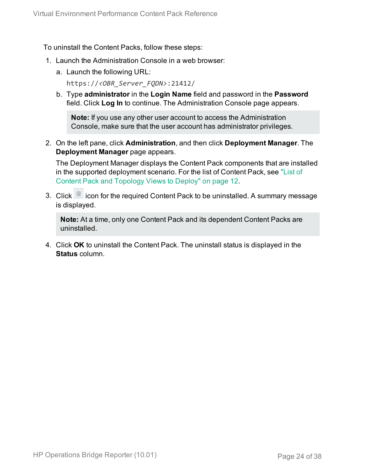To uninstall the Content Packs, follow these steps:

- 1. Launch the Administration Console in a web browser:
	- a. Launch the following URL:
		- https://*<OBR\_Server\_FQDN>*:21412/
	- b. Type **administrator** in the **Login Name** field and password in the **Password** field. Click **Log In** to continue. The Administration Console page appears.

**Note:** If you use any other user account to access the Administration Console, make sure that the user account has administrator privileges.

2. On the left pane, click **Administration**, and then click **Deployment Manager**. The **Deployment Manager** page appears.

The Deployment Manager displays the Content Pack components that are installed in the supported deployment scenario. For the list of Content Pack, see ["List](#page-11-1) of Content Pack and [Topology](#page-11-1) Views to Deploy" on page 12.

3. Click icon for the required Content Pack to be uninstalled. A summary message is displayed.

**Note:** At a time, only one Content Pack and its dependent Content Packs are uninstalled.

4. Click **OK** to uninstall the Content Pack. The uninstall status is displayed in the **Status** column.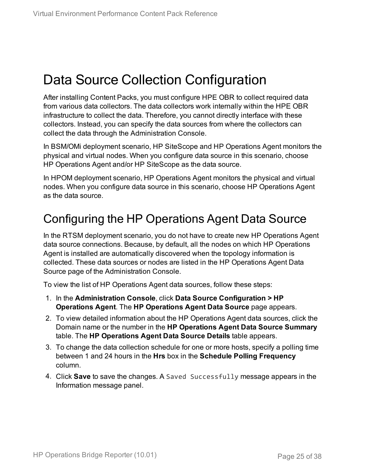# <span id="page-24-0"></span>Data Source Collection Configuration

After installing Content Packs, you must configure HPE OBR to collect required data from various data collectors. The data collectors work internally within the HPE OBR infrastructure to collect the data. Therefore, you cannot directly interface with these collectors. Instead, you can specify the data sources from where the collectors can collect the data through the Administration Console.

In BSM/OMi deployment scenario, HP SiteScope and HP Operations Agent monitors the physical and virtual nodes. When you configure data source in this scenario, choose HP Operations Agent and/or HP SiteScope as the data source.

In HPOM deployment scenario, HP Operations Agent monitors the physical and virtual nodes. When you configure data source in this scenario, choose HP Operations Agent as the data source.

### <span id="page-24-1"></span>Configuring the HP Operations Agent Data Source

In the RTSM deployment scenario, you do not have to create new HP Operations Agent data source connections. Because, by default, all the nodes on which HP Operations Agent is installed are automatically discovered when the topology information is collected. These data sources or nodes are listed in the HP Operations Agent Data Source page of the Administration Console.

To view the list of HP Operations Agent data sources, follow these steps:

- 1. In the **Administration Console**, click **Data Source Configuration > HP Operations Agent**. The **HP Operations Agent Data Source** page appears.
- 2. To view detailed information about the HP Operations Agent data sources, click the Domain name or the number in the **HP Operations Agent Data Source Summary** table. The **HP Operations Agent Data Source Details** table appears.
- 3. To change the data collection schedule for one or more hosts, specify a polling time between 1 and 24 hours in the **Hrs** box in the **Schedule Polling Frequency** column.
- 4. Click **Save** to save the changes. A Saved Successfully message appears in the Information message panel.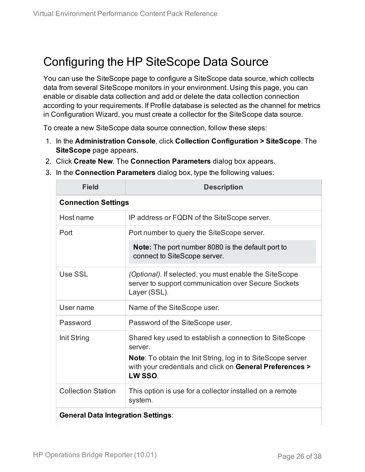### <span id="page-25-0"></span>Configuring the HP SiteScope Data Source

You can use the SiteScope page to configure a SiteScope data source, which collects data from several SiteScope monitors in your environment. Using this page, you can enable or disable data collection and add or delete the data collection connection according to your requirements. If Profile database is selected as the channel for metrics in Configuration Wizard, you must create a collector for the SiteScope data source.

To create a new SiteScope data source connection, follow these steps:

1. In the **Administration Console**, click **Collection Configuration > SiteScope**. The **SiteScope** page appears.

| <b>Field</b>                              | <b>Description</b>                                                                                                                 |
|-------------------------------------------|------------------------------------------------------------------------------------------------------------------------------------|
| <b>Connection Settings</b>                |                                                                                                                                    |
| Host name                                 | IP address or FQDN of the SiteScope server.                                                                                        |
| Port                                      | Port number to query the SiteScope server.                                                                                         |
|                                           | <b>Note:</b> The port number 8080 is the default port to<br>connect to SiteScope server.                                           |
| Use SSL                                   | (Optional). If selected, you must enable the SiteScope<br>server to support communication over Secure Sockets<br>Layer (SSL).      |
| User name                                 | Name of the SiteScope user.                                                                                                        |
| Password                                  | Password of the SiteScope user.                                                                                                    |
| Init String                               | Shared key used to establish a connection to SiteScope<br>server.                                                                  |
|                                           | Note: To obtain the Init String, log in to SiteScope server<br>with your credentials and click on General Preferences ><br>LW SSO. |
| <b>Collection Station</b>                 | This option is use for a collector installed on a remote<br>system.                                                                |
| <b>General Data Integration Settings:</b> |                                                                                                                                    |

2. Click **Create New**. The **Connection Parameters** dialog box appears. 3. In the **Connection Parameters** dialog box, type the following values: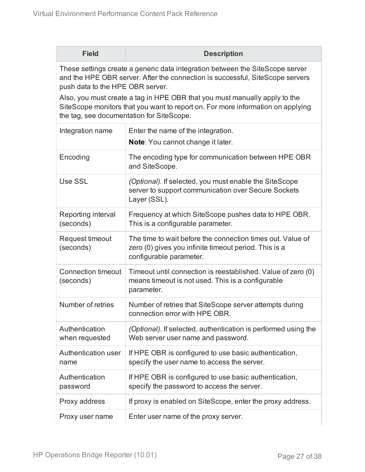| <b>Field</b>                                                                                                                                                                                                                                                                                                                                                                                                     | <b>Description</b>                                                                                                                             |  |  |  |  |  |
|------------------------------------------------------------------------------------------------------------------------------------------------------------------------------------------------------------------------------------------------------------------------------------------------------------------------------------------------------------------------------------------------------------------|------------------------------------------------------------------------------------------------------------------------------------------------|--|--|--|--|--|
| These settings create a generic data integration between the SiteScope server<br>and the HPE OBR server. After the connection is successful, SiteScope servers<br>push data to the HPE OBR server.<br>Also, you must create a tag in HPE OBR that you must manually apply to the<br>SiteScope monitors that you want to report on. For more information on applying<br>the tag, see documentation for SiteScope. |                                                                                                                                                |  |  |  |  |  |
| Integration name                                                                                                                                                                                                                                                                                                                                                                                                 | Enter the name of the integration.<br>Note: You cannot change it later.                                                                        |  |  |  |  |  |
| Encoding                                                                                                                                                                                                                                                                                                                                                                                                         | The encoding type for communication between HPE OBR<br>and SiteScope.                                                                          |  |  |  |  |  |
| Use SSL                                                                                                                                                                                                                                                                                                                                                                                                          | (Optional). If selected, you must enable the SiteScope<br>server to support communication over Secure Sockets<br>Layer (SSL).                  |  |  |  |  |  |
| Reporting interval<br>(seconds)                                                                                                                                                                                                                                                                                                                                                                                  | Frequency at which SiteScope pushes data to HPE OBR.<br>This is a configurable parameter.                                                      |  |  |  |  |  |
| Request timeout<br>(seconds)                                                                                                                                                                                                                                                                                                                                                                                     | The time to wait before the connection times out. Value of<br>zero (0) gives you infinite timeout period. This is a<br>configurable parameter. |  |  |  |  |  |
| <b>Connection timeout</b><br>(seconds)                                                                                                                                                                                                                                                                                                                                                                           | Timeout until connection is reestablished. Value of zero (0)<br>means timeout is not used. This is a configurable<br>parameter.                |  |  |  |  |  |
| Number of retries                                                                                                                                                                                                                                                                                                                                                                                                | Number of retries that SiteScope server attempts during<br>connection error with HPE OBR.                                                      |  |  |  |  |  |
| Authentication<br>when requested                                                                                                                                                                                                                                                                                                                                                                                 | (Optional). If selected, authentication is performed using the<br>Web server user name and password.                                           |  |  |  |  |  |
| Authentication user<br>name                                                                                                                                                                                                                                                                                                                                                                                      | If HPE OBR is configured to use basic authentication,<br>specify the user name to access the server.                                           |  |  |  |  |  |
| Authentication<br>password                                                                                                                                                                                                                                                                                                                                                                                       | If HPE OBR is configured to use basic authentication,<br>specify the password to access the server.                                            |  |  |  |  |  |
| Proxy address                                                                                                                                                                                                                                                                                                                                                                                                    | If proxy is enabled on SiteScope, enter the proxy address.                                                                                     |  |  |  |  |  |
| Proxy user name                                                                                                                                                                                                                                                                                                                                                                                                  | Enter user name of the proxy server.                                                                                                           |  |  |  |  |  |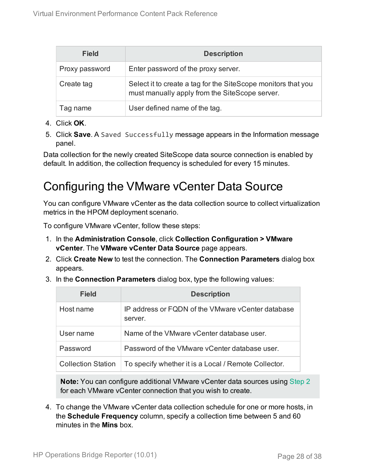| Field          | <b>Description</b>                                                                                              |
|----------------|-----------------------------------------------------------------------------------------------------------------|
| Proxy password | Enter password of the proxy server.                                                                             |
| Create tag     | Select it to create a tag for the SiteScope monitors that you<br>must manually apply from the SiteScope server. |
| Tag name       | User defined name of the tag.                                                                                   |

- 4. Click **OK**.
- 5. Click **Save**. A Saved Successfully message appears in the Information message panel.

<span id="page-27-0"></span>Data collection for the newly created SiteScope data source connection is enabled by default. In addition, the collection frequency is scheduled for every 15 minutes.

### Configuring the VMware vCenter Data Source

You can configure VMware vCenter as the data collection source to collect virtualization metrics in the HPOM deployment scenario.

To configure VMware vCenter, follow these steps:

- 1. In the **Administration Console**, click **Collection Configuration > VMware vCenter**. The **VMware vCenter Data Source** page appears.
- <span id="page-27-1"></span>2. Click **Create New** to test the connection. The **Connection Parameters** dialog box appears.
- 3. In the **Connection Parameters** dialog box, type the following values:

| Field                     | <b>Description</b>                                           |
|---------------------------|--------------------------------------------------------------|
| Host name                 | IP address or FQDN of the VMware vCenter database<br>server. |
| User name                 | Name of the VMware vCenter database user.                    |
| Password                  | Password of the VMware yCenter database user.                |
| <b>Collection Station</b> | To specify whether it is a Local / Remote Collector.         |

**Note:** You can configure additional VMware vCenter data sources using [Step](#page-27-1) 2 for each VMware vCenter connection that you wish to create.

4. To change the VMware vCenter data collection schedule for one or more hosts, in the **Schedule Frequency** column, specify a collection time between 5 and 60 minutes in the **Mins** box.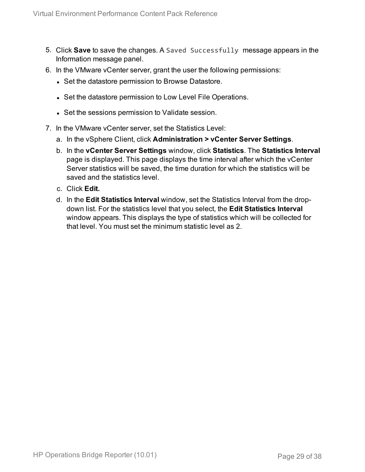- 5. Click **Save** to save the changes. A Saved Successfully message appears in the Information message panel.
- 6. In the VMware vCenter server, grant the user the following permissions:
	- Set the datastore permission to Browse Datastore.
	- Set the datastore permission to Low Level File Operations.
	- Set the sessions permission to Validate session.
- 7. In the VMware vCenter server, set the Statistics Level:
	- a. In the vSphere Client, click **Administration > vCenter Server Settings**.
	- b. In the **vCenter Server Settings** window, click **Statistics**. The **Statistics Interval** page is displayed. This page displays the time interval after which the vCenter Server statistics will be saved, the time duration for which the statistics will be saved and the statistics level.
	- c. Click **Edit.**
	- d. In the **Edit Statistics Interval** window, set the Statistics Interval from the dropdown list. For the statistics level that you select, the **Edit Statistics Interval** window appears. This displays the type of statistics which will be collected for that level. You must set the minimum statistic level as 2.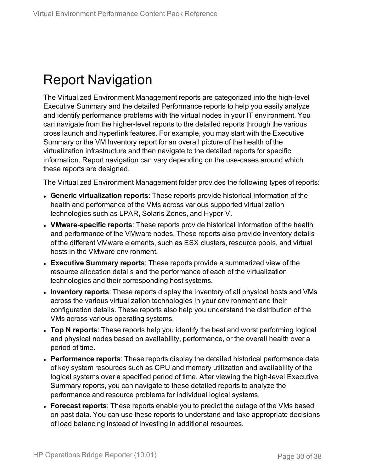# <span id="page-29-0"></span>Report Navigation

The Virtualized Environment Management reports are categorized into the high-level Executive Summary and the detailed Performance reports to help you easily analyze and identify performance problems with the virtual nodes in your IT environment. You can navigate from the higher-level reports to the detailed reports through the various cross launch and hyperlink features. For example, you may start with the Executive Summary or the VM Inventory report for an overall picture of the health of the virtualization infrastructure and then navigate to the detailed reports for specific information. Report navigation can vary depending on the use-cases around which these reports are designed.

The Virtualized Environment Management folder provides the following types of reports:

- **. Generic virtualization reports**: These reports provide historical information of the health and performance of the VMs across various supported virtualization technologies such as LPAR, Solaris Zones, and Hyper-V.
- **VMware-specific reports**: These reports provide historical information of the health and performance of the VMware nodes. These reports also provide inventory details of the different VMware elements, such as ESX clusters, resource pools, and virtual hosts in the VMware environment.
- **Executive Summary reports**: These reports provide a summarized view of the resource allocation details and the performance of each of the virtualization technologies and their corresponding host systems.
- **.** Inventory reports: These reports display the inventory of all physical hosts and VMs across the various virtualization technologies in your environment and their configuration details. These reports also help you understand the distribution of the VMs across various operating systems.
- **Top N reports**: These reports help you identify the best and worst performing logical and physical nodes based on availability, performance, or the overall health over a period of time.
- **Performance reports**: These reports display the detailed historical performance data of key system resources such as CPU and memory utilization and availability of the logical systems over a specified period of time. After viewing the high-level Executive Summary reports, you can navigate to these detailed reports to analyze the performance and resource problems for individual logical systems.
- **Forecast reports**: These reports enable you to predict the outage of the VMs based on past data. You can use these reports to understand and take appropriate decisions of load balancing instead of investing in additional resources.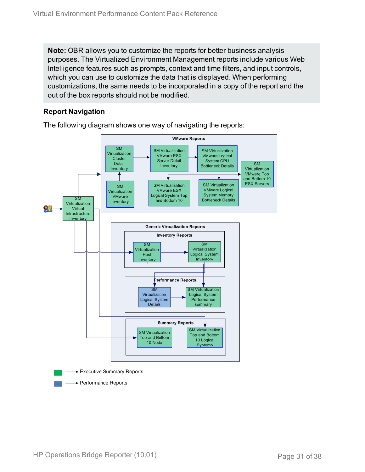**Note:** OBR allows you to customize the reports for better business analysis purposes. The Virtualized Environment Management reports include various Web Intelligence features such as prompts, context and time filters, and input controls, which you can use to customize the data that is displayed. When performing customizations, the same needs to be incorporated in a copy of the report and the out of the box reports should not be modified.

#### **Report Navigation**



The following diagram shows one way of navigating the reports: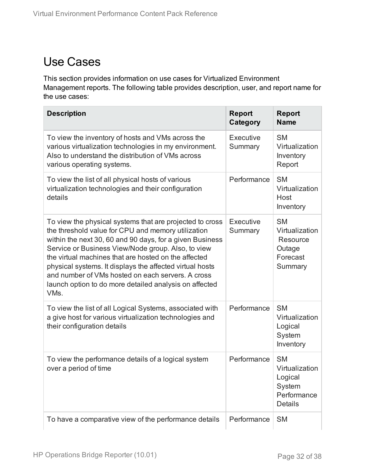### <span id="page-31-0"></span>Use Cases

This section provides information on use cases for Virtualized Environment Management reports. The following table provides description, user, and report name for the use cases:

| <b>Description</b>                                                                                                                                                                                                                                                                                                                                                                                                                                                                       | <b>Report</b><br>Category | <b>Report</b><br><b>Name</b>                                                      |
|------------------------------------------------------------------------------------------------------------------------------------------------------------------------------------------------------------------------------------------------------------------------------------------------------------------------------------------------------------------------------------------------------------------------------------------------------------------------------------------|---------------------------|-----------------------------------------------------------------------------------|
| To view the inventory of hosts and VMs across the<br>various virtualization technologies in my environment.<br>Also to understand the distribution of VMs across<br>various operating systems.                                                                                                                                                                                                                                                                                           | Executive<br>Summary      | <b>SM</b><br>Virtualization<br>Inventory<br>Report                                |
| To view the list of all physical hosts of various<br>virtualization technologies and their configuration<br>details                                                                                                                                                                                                                                                                                                                                                                      | Performance               | <b>SM</b><br>Virtualization<br>Host<br>Inventory                                  |
| To view the physical systems that are projected to cross<br>the threshold value for CPU and memory utilization<br>within the next 30, 60 and 90 days, for a given Business<br>Service or Business View/Node group. Also, to view<br>the virtual machines that are hosted on the affected<br>physical systems. It displays the affected virtual hosts<br>and number of VMs hosted on each servers. A cross<br>launch option to do more detailed analysis on affected<br>VM <sub>s</sub> . | Executive<br>Summary      | <b>SM</b><br>Virtualization<br>Resource<br>Outage<br>Forecast<br>Summary          |
| To view the list of all Logical Systems, associated with<br>a give host for various virtualization technologies and<br>their configuration details                                                                                                                                                                                                                                                                                                                                       | Performance               | <b>SM</b><br>Virtualization<br>Logical<br>System<br>Inventory                     |
| To view the performance details of a logical system<br>over a period of time                                                                                                                                                                                                                                                                                                                                                                                                             | Performance               | <b>SM</b><br>Virtualization<br>Logical<br>System<br>Performance<br><b>Details</b> |
| To have a comparative view of the performance details                                                                                                                                                                                                                                                                                                                                                                                                                                    | Performance               | <b>SM</b>                                                                         |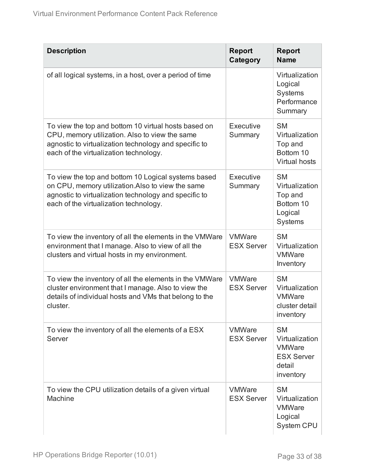| <b>Description</b>                                                                                                                                                                                         | <b>Report</b><br>Category          | Report<br><b>Name</b>                                                                    |
|------------------------------------------------------------------------------------------------------------------------------------------------------------------------------------------------------------|------------------------------------|------------------------------------------------------------------------------------------|
| of all logical systems, in a host, over a period of time                                                                                                                                                   |                                    | Virtualization<br>Logical<br><b>Systems</b><br>Performance<br>Summary                    |
| To view the top and bottom 10 virtual hosts based on<br>CPU, memory utilization. Also to view the same<br>agnostic to virtualization technology and specific to<br>each of the virtualization technology.  | Executive<br>Summary               | <b>SM</b><br>Virtualization<br>Top and<br>Bottom 10<br>Virtual hosts                     |
| To view the top and bottom 10 Logical systems based<br>on CPU, memory utilization Also to view the same<br>agnostic to virtualization technology and specific to<br>each of the virtualization technology. | Executive<br>Summary               | <b>SM</b><br>Virtualization<br>Top and<br>Bottom 10<br>Logical<br><b>Systems</b>         |
| To view the inventory of all the elements in the VMWare<br>environment that I manage. Also to view of all the<br>clusters and virtual hosts in my environment.                                             | <b>VMWare</b><br><b>ESX Server</b> | <b>SM</b><br>Virtualization<br><b>VMWare</b><br>Inventory                                |
| To view the inventory of all the elements in the VMWare<br>cluster environment that I manage. Also to view the<br>details of individual hosts and VMs that belong to the<br>cluster.                       | <b>VMWare</b><br><b>ESX Server</b> | <b>SM</b><br>Virtualization<br><b>VMWare</b><br>cluster detail<br>inventory              |
| To view the inventory of all the elements of a ESX<br>Server                                                                                                                                               | <b>VMWare</b><br><b>ESX Server</b> | <b>SM</b><br>Virtualization<br><b>VMWare</b><br><b>ESX Server</b><br>detail<br>inventory |
| To view the CPU utilization details of a given virtual<br>Machine                                                                                                                                          | <b>VMWare</b><br><b>ESX Server</b> | <b>SM</b><br>Virtualization<br><b>VMWare</b><br>Logical<br>System CPU                    |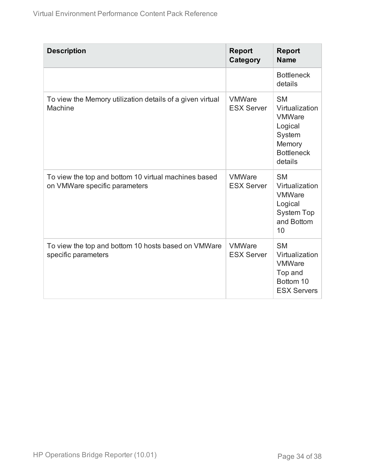| <b>Description</b>                                                                    | Report<br>Category                 | <b>Report</b><br><b>Name</b>                                                                                |
|---------------------------------------------------------------------------------------|------------------------------------|-------------------------------------------------------------------------------------------------------------|
|                                                                                       |                                    | <b>Bottleneck</b><br>details                                                                                |
| To view the Memory utilization details of a given virtual<br><b>Machine</b>           | <b>VMWare</b><br><b>ESX Server</b> | <b>SM</b><br>Virtualization<br><b>VMWare</b><br>Logical<br>System<br>Memory<br><b>Bottleneck</b><br>details |
| To view the top and bottom 10 virtual machines based<br>on VMWare specific parameters | <b>VMWare</b><br><b>ESX Server</b> | <b>SM</b><br>Virtualization<br><b>VMWare</b><br>Logical<br><b>System Top</b><br>and Bottom<br>10            |
| To view the top and bottom 10 hosts based on VMWare<br>specific parameters            | <b>VMWare</b><br><b>ESX Server</b> | <b>SM</b><br>Virtualization<br><b>VMWare</b><br>Top and<br>Bottom 10<br><b>ESX Servers</b>                  |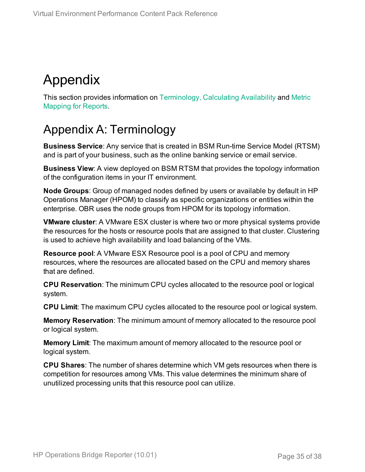# <span id="page-34-0"></span>Appendix

This section provides information on [Terminology,](#page-34-1) [Calculating](#page-35-0) Availability and [Metric](#page-36-0) [Mapping](#page-36-0) for Reports.

## <span id="page-34-1"></span>Appendix A: Terminology

**Business Service**: Any service that is created in BSM Run-time Service Model (RTSM) and is part of your business, such as the online banking service or email service.

**Business View**: A view deployed on BSM RTSM that provides the topology information of the configuration items in your IT environment.

**Node Groups**: Group of managed nodes defined by users or available by default in HP Operations Manager (HPOM) to classify as specific organizations or entities within the enterprise. OBR uses the node groups from HPOM for its topology information.

**VMware cluster**: A VMware ESX cluster is where two or more physical systems provide the resources for the hosts or resource pools that are assigned to that cluster. Clustering is used to achieve high availability and load balancing of the VMs.

**Resource pool**: A VMware ESX Resource pool is a pool of CPU and memory resources, where the resources are allocated based on the CPU and memory shares that are defined.

**CPU Reservation**: The minimum CPU cycles allocated to the resource pool or logical system.

**CPU Limit**: The maximum CPU cycles allocated to the resource pool or logical system.

**Memory Reservation**: The minimum amount of memory allocated to the resource pool or logical system.

**Memory Limit**: The maximum amount of memory allocated to the resource pool or logical system.

**CPU Shares**: The number of shares determine which VM gets resources when there is competition for resources among VMs. This value determines the minimum share of unutilized processing units that this resource pool can utilize.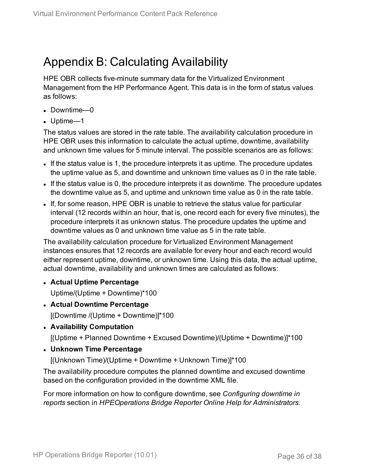### <span id="page-35-0"></span>Appendix B: Calculating Availability

HPE OBR collects five-minute summary data for the Virtualized Environment Management from the HP Performance Agent. This data is in the form of status values as follows:

- Downtime—0
- $\bullet$  Uptime—1

The status values are stored in the rate table. The availability calculation procedure in HPE OBR uses this information to calculate the actual uptime, downtime, availability and unknown time values for 5 minute interval. The possible scenarios are as follows:

- If the status value is 1, the procedure interprets it as uptime. The procedure updates the uptime value as 5, and downtime and unknown time values as 0 in the rate table.
- If the status value is 0, the procedure interprets it as downtime. The procedure updates the downtime value as 5, and uptime and unknown time value as 0 in the rate table.
- If, for some reason, HPE OBR is unable to retrieve the status value for particular interval (12 records within an hour, that is, one record each for every five minutes), the procedure interprets it as unknown status. The procedure updates the uptime and downtime values as 0 and unknown time value as 5 in the rate table.

The availability calculation procedure for Virtualized Environment Management instances ensures that 12 records are available for every hour and each record would either represent uptime, downtime, or unknown time. Using this data, the actual uptime, actual downtime, availability and unknown times are calculated as follows:

<sup>l</sup> **Actual Uptime Percentage**

Uptime/(Uptime + Downtime)\*100

<sup>l</sup> **Actual Downtime Percentage**

[(Downtime /(Uptime + Downtime)]\*100

<sup>l</sup> **Availability Computation**

[(Uptime + Planned Downtime + Excused Downtime)/(Uptime + Downtime)]\*100

<sup>l</sup> **Unknown Time Percentage**

[(Unknown Time)/(Uptime + Downtime + Unknown Time)]\*100

The availability procedure computes the planned downtime and excused downtime based on the configuration provided in the downtime XML file.

For more information on how to configure downtime, see *Configuring downtime in reports* section in *HPEOperations Bridge Reporter Online Help for Administrators*.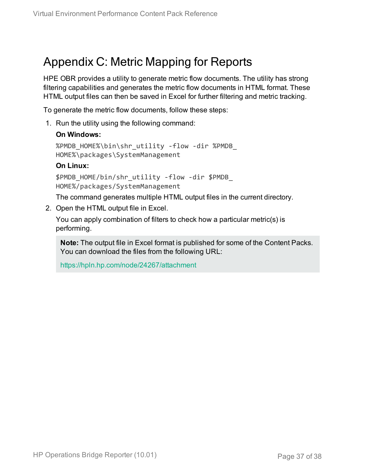### <span id="page-36-0"></span>Appendix C: Metric Mapping for Reports

HPE OBR provides a utility to generate metric flow documents. The utility has strong filtering capabilities and generates the metric flow documents in HTML format. These HTML output files can then be saved in Excel for further filtering and metric tracking.

To generate the metric flow documents, follow these steps:

1. Run the utility using the following command:

#### **On Windows:**

```
%PMDB_HOME%\bin\shr_utility -flow -dir %PMDB_
HOME%\packages\SystemManagement
```
#### **On Linux:**

\$PMDB\_HOME/bin/shr\_utility -flow -dir \$PMDB\_ HOME%/packages/SystemManagement

The command generates multiple HTML output files in the current directory.

2. Open the HTML output file in Excel.

You can apply combination of filters to check how a particular metric(s) is performing.

**Note:** The output file in Excel format is published for some of the Content Packs. You can download the files from the following URL:

<https://hpln.hp.com/node/24267/attachment>